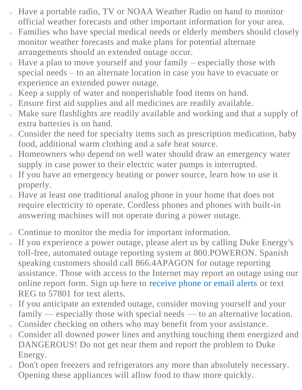- <sup>o</sup> Have a portable radio, TV or NOAA Weather Radio on hand to monitor official weather forecasts and other important information for your area.
- <sup>o</sup> Families who have special medical needs or elderly members should closely monitor weather forecasts and make plans for potential alternate arrangements should an extended outage occur.
- Have a plan to move yourself and your family especially those with special needs – to an alternate location in case you have to evacuate or experience an extended power outage.
- Keep a supply of water and nonperishable food items on hand.
- Ensure first aid supplies and all medicines are readily available.
- Make sure flashlights are readily available and working and that a supply of extra batteries is on hand.
- Consider the need for specialty items such as prescription medication, baby food, additional warm clothing and a safe heat source.
- Homeowners who depend on well water should draw an emergency water supply in case power to their electric water pumps is interrupted.
- If you have an emergency heating or power source, learn how to use it properly.
- <sup>o</sup> Have at least one traditional analog phone in your home that does not require electricity to operate. Cordless phones and phones with built-in answering machines will not operate during a power outage.
- Continue to monitor the media for important information.
- If you experience a power outage, please alert us by calling Duke Energy's toll-free, automated outage reporting system at 800.POWERON. Spanish speaking customers should call 866.4APAGON for outage reporting assistance. Those with access to the Internet may report an outage using our online report form. Sign up here to [receive phone or email alerts](https://www.duke-energy.com/outages/alerts) or text REG to 57801 for text alerts.
- If you anticipate an extended outage, consider moving yourself and your family — especially those with special needs — to an alternative location.
- Consider checking on others who may benefit from your assistance.
- <sup>o</sup> Consider all downed power lines and anything touching them energized and DANGEROUS! Do not get near them and report the problem to Duke Energy.
- <sup>o</sup> Don't open freezers and refrigerators any more than absolutely necessary. Opening these appliances will allow food to thaw more quickly.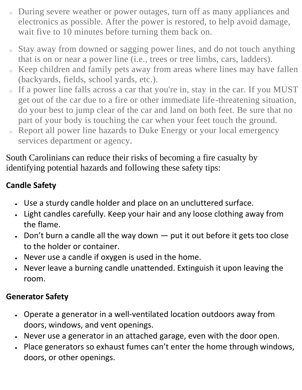- <sup>o</sup> During severe weather or power outages, turn off as many appliances and electronics as possible. After the power is restored, to help avoid damage, wait five to 10 minutes before turning them back on.
- <sup>o</sup> Stay away from downed or sagging power lines, and do not touch anything that is on or near a power line (i.e., trees or tree limbs, cars, ladders).
- <sup>o</sup> Keep children and family pets away from areas where lines may have fallen (backyards, fields, school yards, etc.).
- <sup>o</sup> If a power line falls across a car that you're in, stay in the car. If you MUST get out of the car due to a fire or other immediate life-threatening situation, do your best to jump clear of the car and land on both feet. Be sure that no part of your body is touching the car when your feet touch the ground.
- <sup>o</sup> Report all power line hazards to Duke Energy or your local emergency services department or agency.

South Carolinians can reduce their risks of becoming a fire casualty by identifying potential hazards and following these safety tips:

## **Candle Safety**

- Use a sturdy candle holder and place on an uncluttered surface.
- Light candles carefully. Keep your hair and any loose clothing away from the flame.
- Don't burn a candle all the way down  $-$  put it out before it gets too close to the holder or container.
- Never use a candle if oxygen is used in the home.
- Never leave a burning candle unattended. Extinguish it upon leaving the room.

## **Generator Safety**

- Operate a generator in a well-ventilated location outdoors away from doors, windows, and vent openings.
- Never use a generator in an attached garage, even with the door open.
- Place generators so exhaust fumes can't enter the home through windows, doors, or other openings.